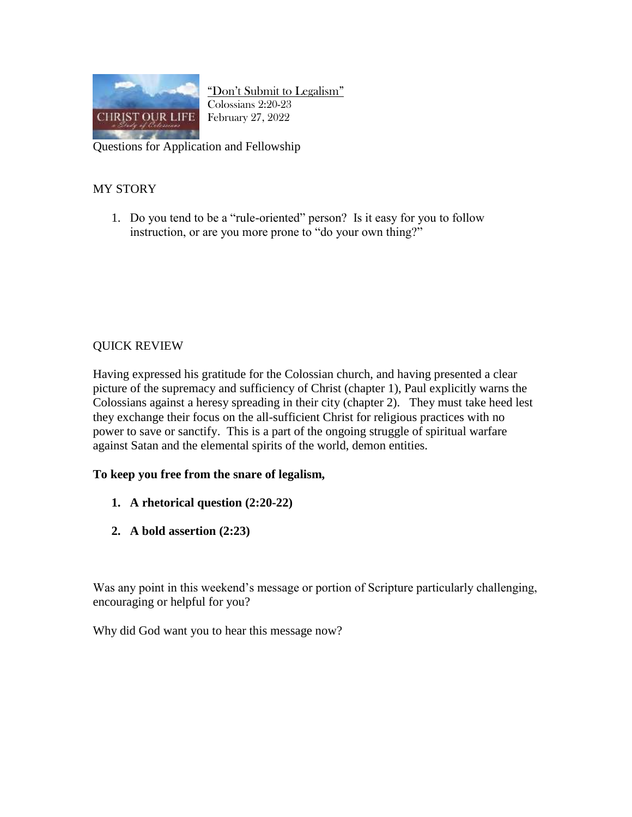

"Don't Submit to Legalism" Colossians 2:20-23 February 27, 2022

Questions for Application and Fellowship

## MY STORY

1. Do you tend to be a "rule-oriented" person? Is it easy for you to follow instruction, or are you more prone to "do your own thing?"

## QUICK REVIEW

Having expressed his gratitude for the Colossian church, and having presented a clear picture of the supremacy and sufficiency of Christ (chapter 1), Paul explicitly warns the Colossians against a heresy spreading in their city (chapter 2). They must take heed lest they exchange their focus on the all-sufficient Christ for religious practices with no power to save or sanctify. This is a part of the ongoing struggle of spiritual warfare against Satan and the elemental spirits of the world, demon entities.

## **To keep you free from the snare of legalism,**

- **1. A rhetorical question (2:20-22)**
- **2. A bold assertion (2:23)**

Was any point in this weekend's message or portion of Scripture particularly challenging, encouraging or helpful for you?

Why did God want you to hear this message now?